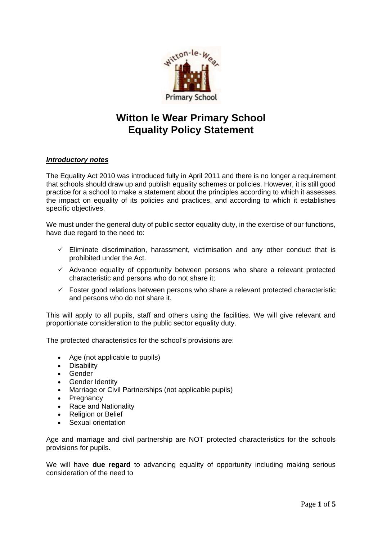

# **Witton le Wear Primary School Equality Policy Statement**

# *Introductory notes*

The Equality Act 2010 was introduced fully in April 2011 and there is no longer a requirement that schools should draw up and publish equality schemes or policies. However, it is still good practice for a school to make a statement about the principles according to which it assesses the impact on equality of its policies and practices, and according to which it establishes specific objectives.

We must under the general duty of public sector equality duty, in the exercise of our functions, have due regard to the need to:

- $\checkmark$  Eliminate discrimination, harassment, victimisation and any other conduct that is prohibited under the Act.
- $\checkmark$  Advance equality of opportunity between persons who share a relevant protected characteristic and persons who do not share it;
- $\checkmark$  Foster good relations between persons who share a relevant protected characteristic and persons who do not share it.

This will apply to all pupils, staff and others using the facilities. We will give relevant and proportionate consideration to the public sector equality duty.

The protected characteristics for the school's provisions are:

- Age (not applicable to pupils)
- Disability
- Gender
- **Gender Identity**
- Marriage or Civil Partnerships (not applicable pupils)
- **Pregnancy**
- Race and Nationality
- Religion or Belief
- Sexual orientation

Age and marriage and civil partnership are NOT protected characteristics for the schools provisions for pupils.

We will have **due regard** to advancing equality of opportunity including making serious consideration of the need to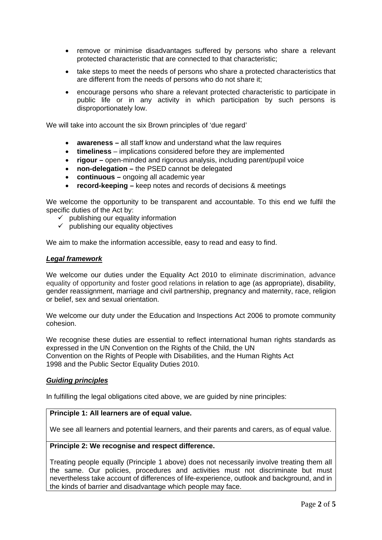- remove or minimise disadvantages suffered by persons who share a relevant protected characteristic that are connected to that characteristic;
- take steps to meet the needs of persons who share a protected characteristics that are different from the needs of persons who do not share it;
- encourage persons who share a relevant protected characteristic to participate in public life or in any activity in which participation by such persons is disproportionately low.

We will take into account the six Brown principles of 'due regard'

- **awareness –** all staff know and understand what the law requires
- **timeliness**  implications considered before they are implemented
- **rigour –** open-minded and rigorous analysis, including parent/pupil voice
- **non-delegation** the PSED cannot be delegated
- **continuous –** ongoing all academic year
- **record-keeping –** keep notes and records of decisions & meetings

We welcome the opportunity to be transparent and accountable. To this end we fulfil the specific duties of the Act by:

- $\checkmark$  publishing our equality information
- $\checkmark$  publishing our equality objectives

We aim to make the information accessible, easy to read and easy to find.

#### *Legal framework*

We welcome our duties under the Equality Act 2010 to eliminate discrimination, advance equality of opportunity and foster good relations in relation to age (as appropriate), disability, gender reassignment, marriage and civil partnership, pregnancy and maternity, race, religion or belief, sex and sexual orientation.

We welcome our duty under the Education and Inspections Act 2006 to promote community cohesion.

We recognise these duties are essential to reflect international human rights standards as expressed in the UN Convention on the Rights of the Child, the UN Convention on the Rights of People with Disabilities, and the Human Rights Act 1998 and the Public Sector Equality Duties 2010.

#### *Guiding principles*

In fulfilling the legal obligations cited above, we are guided by nine principles:

# **Principle 1: All learners are of equal value.**

We see all learners and potential learners, and their parents and carers, as of equal value.

# **Principle 2: We recognise and respect difference.**

Treating people equally (Principle 1 above) does not necessarily involve treating them all the same. Our policies, procedures and activities must not discriminate but must nevertheless take account of differences of life-experience, outlook and background, and in the kinds of barrier and disadvantage which people may face.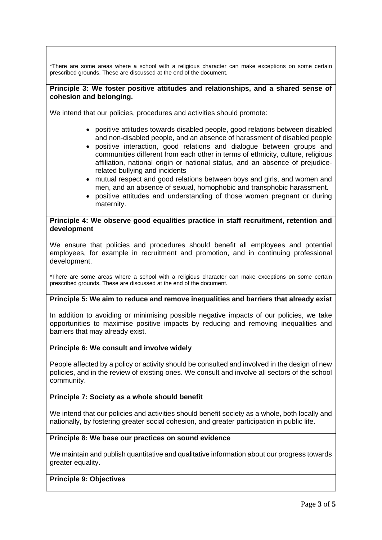\*There are some areas where a school with a religious character can make exceptions on some certain prescribed grounds. These are discussed at the end of the document.

## **Principle 3: We foster positive attitudes and relationships, and a shared sense of cohesion and belonging.**

We intend that our policies, procedures and activities should promote:

- positive attitudes towards disabled people, good relations between disabled and non-disabled people, and an absence of harassment of disabled people
- positive interaction, good relations and dialogue between groups and communities different from each other in terms of ethnicity, culture, religious affiliation, national origin or national status, and an absence of prejudicerelated bullying and incidents
- mutual respect and good relations between boys and girls, and women and men, and an absence of sexual, homophobic and transphobic harassment.
- positive attitudes and understanding of those women pregnant or during maternity.

#### **Principle 4: We observe good equalities practice in staff recruitment, retention and development**

We ensure that policies and procedures should benefit all employees and potential employees, for example in recruitment and promotion, and in continuing professional development.

\*There are some areas where a school with a religious character can make exceptions on some certain prescribed grounds. These are discussed at the end of the document.

# **Principle 5: We aim to reduce and remove inequalities and barriers that already exist**

In addition to avoiding or minimising possible negative impacts of our policies, we take opportunities to maximise positive impacts by reducing and removing inequalities and barriers that may already exist.

# **Principle 6: We consult and involve widely**

People affected by a policy or activity should be consulted and involved in the design of new policies, and in the review of existing ones. We consult and involve all sectors of the school community.

## **Principle 7: Society as a whole should benefit**

We intend that our policies and activities should benefit society as a whole, both locally and nationally, by fostering greater social cohesion, and greater participation in public life.

## **Principle 8: We base our practices on sound evidence**

We maintain and publish quantitative and qualitative information about our progress towards greater equality.

#### **Principle 9: Objectives**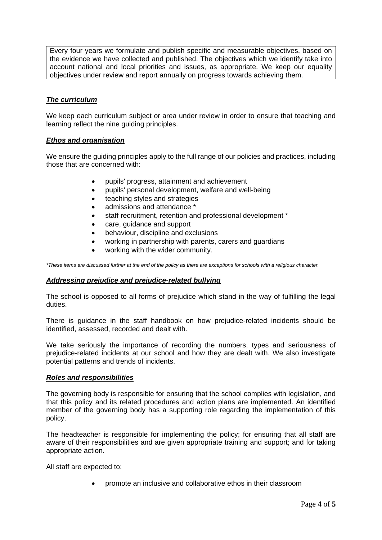Every four years we formulate and publish specific and measurable objectives, based on the evidence we have collected and published. The objectives which we identify take into account national and local priorities and issues, as appropriate. We keep our equality objectives under review and report annually on progress towards achieving them.

# *The curriculum*

We keep each curriculum subject or area under review in order to ensure that teaching and learning reflect the nine guiding principles.

## *Ethos and organisation*

We ensure the quiding principles apply to the full range of our policies and practices, including those that are concerned with:

- pupils' progress, attainment and achievement
- pupils' personal development, welfare and well-being
- teaching styles and strategies
- admissions and attendance \*
- staff recruitment, retention and professional development \*
- care, guidance and support
- behaviour, discipline and exclusions
- working in partnership with parents, carers and guardians
- working with the wider community.

*\*These items are discussed further at the end of the policy as there are exceptions for schools with a religious character.*

#### *Addressing prejudice and prejudice-related bullying*

The school is opposed to all forms of prejudice which stand in the way of fulfilling the legal duties.

There is guidance in the staff handbook on how prejudice-related incidents should be identified, assessed, recorded and dealt with.

We take seriously the importance of recording the numbers, types and seriousness of prejudice-related incidents at our school and how they are dealt with. We also investigate potential patterns and trends of incidents.

#### *Roles and responsibilities*

The governing body is responsible for ensuring that the school complies with legislation, and that this policy and its related procedures and action plans are implemented. An identified member of the governing body has a supporting role regarding the implementation of this policy.

The headteacher is responsible for implementing the policy; for ensuring that all staff are aware of their responsibilities and are given appropriate training and support; and for taking appropriate action.

All staff are expected to:

• promote an inclusive and collaborative ethos in their classroom